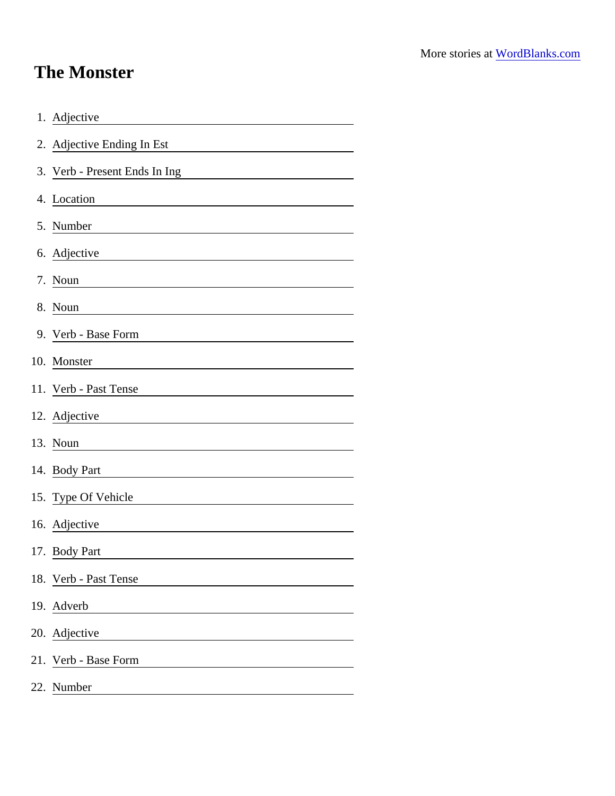## The Monster

| 1. Adjective                                                                                                                           |
|----------------------------------------------------------------------------------------------------------------------------------------|
| 2. Adjective Ending In Est                                                                                                             |
| 3. Verb - Present Ends In Ing                                                                                                          |
| 4. Location                                                                                                                            |
| 5. Number<br><u> 1989 - Johann Barn, mars ann an t-</u>                                                                                |
| 6. Adjective                                                                                                                           |
| 7. Noun                                                                                                                                |
| 8. Noun                                                                                                                                |
| 9. Verb - Base Form                                                                                                                    |
| 10. Monster                                                                                                                            |
| 11. Verb - Past Tense                                                                                                                  |
| 12. Adjective<br><u> 1970 - Andrea State Barbara, política e a provincia de la provincia de la provincia de la provincia de la pro</u> |
| 13. Noun                                                                                                                               |
| 14. Body Part                                                                                                                          |
| 15. Type Of Vehicle                                                                                                                    |
| 16. Adjective                                                                                                                          |
| 17. Body Part                                                                                                                          |
| 18. Verb - Past Tense                                                                                                                  |
| 19. Adverb                                                                                                                             |
| 20. Adjective                                                                                                                          |
| 21. Verb - Base Form                                                                                                                   |
| 22. Number                                                                                                                             |